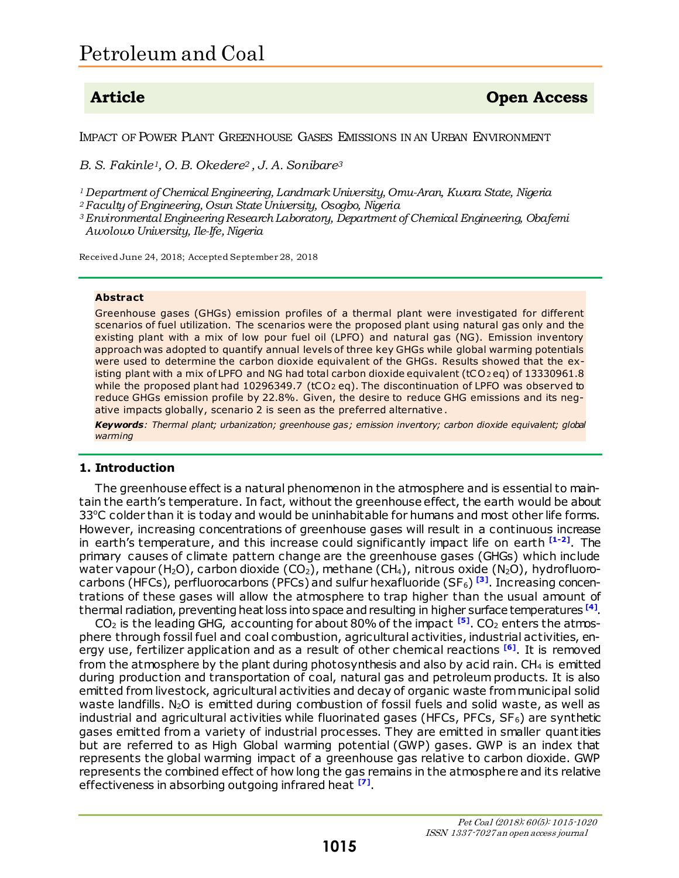IMPACT OF POWER PLANT GREENHOUSE GASES EMISSIONS IN AN URBAN ENVIRONMENT

*B. S. Fakinle1, O. B. Okedere2 , J. A. Sonibare<sup>3</sup>*

*<sup>1</sup>Department of Chemical Engineering, Landmark University, Omu-Aran, Kwara State, Nigeria* 

*<sup>2</sup>Faculty of Engineering, Osun State University, Osogbo, Nigeria*

*<sup>3</sup>Environmental Engineering Research Laboratory, Department of Chemical Engineering, Obafemi Awolowo University, Ile-Ife, Nigeria*

Received June 24, 2018; Accepted September 28, 2018

#### **Abstract**

Greenhouse gases (GHGs) emission profiles of a thermal plant were investigated for different scenarios of fuel utilization. The scenarios were the proposed plant using natural gas only and the existing plant with a mix of low pour fuel oil (LPFO) and natural gas (NG). Emission inventory approach was adopted to quantify annual levels of three key GHGs while global warming potentials were used to determine the carbon dioxide equivalent of the GHGs. Results showed that the existing plant with a mix of LPFO and NG had total carbon dioxide equivalent (tCO2 eq) of 13330961.8 while the proposed plant had 10296349.7 (tCO<sub>2</sub> eq). The discontinuation of LPFO was observed to reduce GHGs emission profile by 22.8%. Given, the desire to reduce GHG emissions and its negative impacts globally, scenario 2 is seen as the preferred alternative.

*Keywords: Thermal plant; urbanization; greenhouse gas; emission inventory; carbon dioxide equivalent; global warming*

## **1. Introduction**

The greenhouse effect is a natural phenomenon in the atmosphere and is essential to maintain the earth's temperature. In fact, without the greenhouse effect, the earth would be about  $33^{\circ}$ C colder than it is today and would be uninhabitable for humans and most other life forms. However, increasing concentrations of greenhouse gases will result in a continuous increase in earth's temperature, and this increase could significantly impact life on earth **[1-2]**. The primary causes of climate pattern change are the greenhouse gases (GHGs) which include water vapour (H<sub>2</sub>O), carbon dioxide (CO<sub>2</sub>), methane (CH<sub>4</sub>), nitrous oxide (N<sub>2</sub>O), hydrofluorocarbons (HFCs), perfluorocarbons (PFCs) and sulfur hexafluoride (SF<sub>6</sub>)<sup>[3]</sup>. Increasing concentrations of these gases will allow the atmosphere to trap higher than the usual amount of thermal radiation, preventing heat loss into space and resulting in higher surface temperatures **[4]** .

 $CO<sub>2</sub>$  is the leading GHG, accounting for about 80% of the impact  $[5]$ . CO<sub>2</sub> enters the atmosphere through fossil fuel and coal combustion, agricultural activities, industrial activities, energy use, fertilizer application and as a result of other chemical reactions **[6]**. It is removed from the atmosphere by the plant during photosynthesis and also by acid rain.  $CH_4$  is emitted during production and transportation of coal, natural gas and petroleum products. It is also emitted from livestock, agricultural activities and decay of organic waste from municipal solid waste landfills. N<sub>2</sub>O is emitted during combustion of fossil fuels and solid waste, as well as industrial and agricultural activities while fluorinated gases (HFCs, PFCs,  $SF_6$ ) are synthetic gases emitted from a variety of industrial processes. They are emitted in smaller quantities but are referred to as High Global warming potential (GWP) gases. GWP is an index that represents the global warming impact of a greenhouse gas relative to carbon dioxide. GWP represents the combined effect of how long the gas remains in the atmosphere and its relative effectiveness in absorbing outgoing infrared heat **[7]** .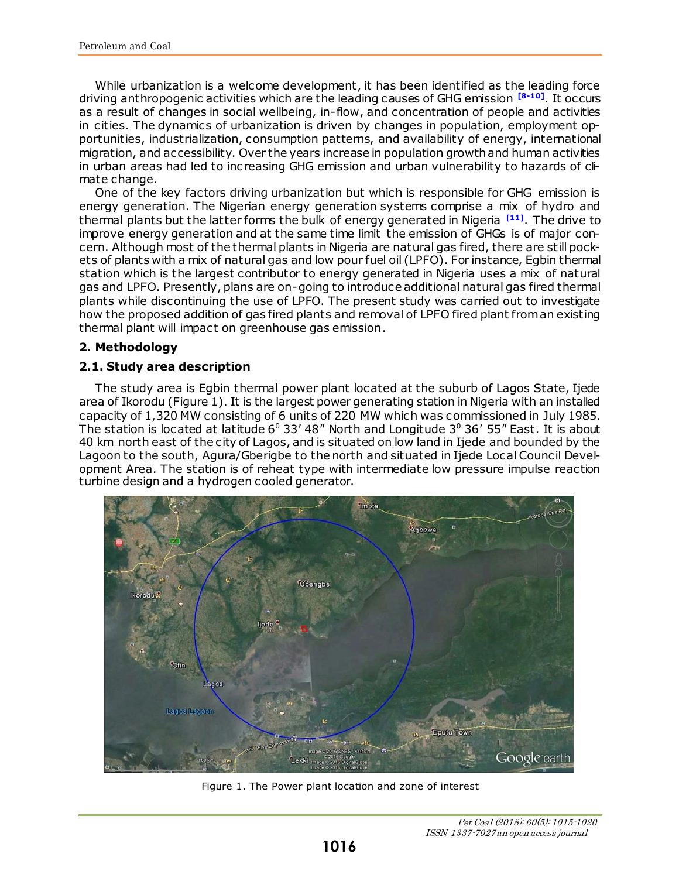While urbanization is a welcome development, it has been identified as the leading force driving anthropogenic activities which are the leading causes of GHG emission **[8-10]**. It occurs as a result of changes in social wellbeing, in-flow, and concentration of people and activities in cities. The dynamics of urbanization is driven by changes in population, employment opportunities, industrialization, consumption patterns, and availability of energy, international migration, and accessibility. Over the years increase in population growth and human activities in urban areas had led to increasing GHG emission and urban vulnerability to hazards of climate change.

One of the key factors driving urbanization but which is responsible for GHG emission is energy generation. The Nigerian energy generation systems comprise a mix of hydro and thermal plants but the latter forms the bulk of energy generated in Nigeria **[11]**. The drive to improve energy generation and at the same time limit the emission of GHGs is of major concern. Although most of the thermal plants in Nigeria are natural gas fired, there are still pockets of plants with a mix of natural gas and low pour fuel oil (LPFO). For instance, Egbin thermal station which is the largest contributor to energy generated in Nigeria uses a mix of natural gas and LPFO. Presently, plans are on-going to introduce additional natural gas fired thermal plants while discontinuing the use of LPFO. The present study was carried out to investigate how the proposed addition of gas fired plants and removal of LPFO fired plant from an existing thermal plant will impact on greenhouse gas emission.

## **2. Methodology**

## **2.1. Study area description**

The study area is Egbin thermal power plant located at the suburb of Lagos State, Ijede area of Ikorodu (Figure 1). It is the largest power generating station in Nigeria with an installed capacity of 1,320 MW consisting of 6 units of 220 MW which was commissioned in July 1985. The station is located at latitude 6<sup>0</sup> 33' 48" North and Longitude 3<sup>0</sup> 36' 55" East. It is about 40 km north east of the city of Lagos, and is situated on low land in Ijede and bounded by the Lagoon to the south, Agura/Gberigbe to the north and situated in Ijede Local Council Development Area. The station is of reheat type with intermediate low pressure impulse reaction turbine design and a hydrogen cooled generator.



Figure 1. The Power plant location and zone of interest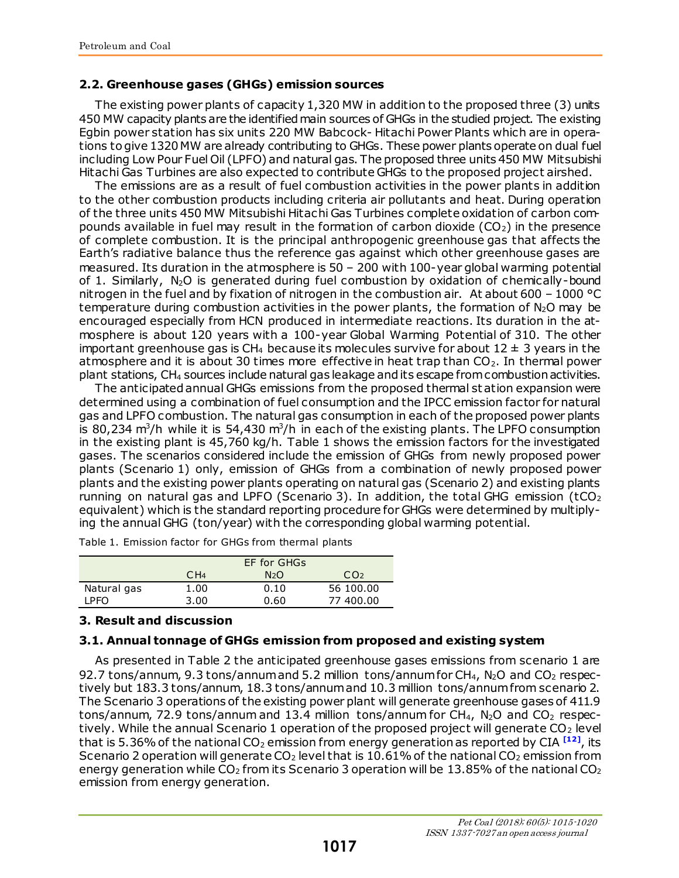## **2.2. Greenhouse gases (GHGs) emission sources**

The existing power plants of capacity 1,320 MW in addition to the proposed three (3) units 450 MW capacity plants are the identified main sources of GHGs in the studied project. The existing Egbin power station has six units 220 MW Babcock- Hitachi Power Plants which are in operations to give 1320 MW are already contributing to GHGs. These power plants operate on dual fuel including Low Pour Fuel Oil (LPFO) and natural gas. The proposed three units 450 MW Mitsubishi Hitachi Gas Turbines are also expected to contribute GHGs to the proposed project airshed.

The emissions are as a result of fuel combustion activities in the power plants in addition to the other combustion products including criteria air pollutants and heat. During operation of the three units 450 MW Mitsubishi Hitachi Gas Turbines complete oxidation of carbon compounds available in fuel may result in the formation of carbon dioxide  $(CO<sub>2</sub>)$  in the presence of complete combustion. It is the principal anthropogenic greenhouse gas that affects the Earth's radiative balance thus the reference gas against which other greenhouse gases are measured. Its duration in the atmosphere is 50 – 200 with 100-year global warming potential of 1. Similarly, N2O is generated during fuel combustion by oxidation of chemically-bound nitrogen in the fuel and by fixation of nitrogen in the combustion air. At about 600 – 1000 °C temperature during combustion activities in the power plants, the formation of  $N_2O$  may be encouraged especially from HCN produced in intermediate reactions. Its duration in the atmosphere is about 120 years with a 100-year Global Warming Potential of 310. The other important greenhouse gas is CH<sub>4</sub> because its molecules survive for about  $12 \pm 3$  years in the atmosphere and it is about 30 times more effective in heat trap than  $CO<sub>2</sub>$ . In thermal power plant stations, CH4 sources include natural gas leakage and its escape from combustion activities.

The anticipated annual GHGs emissions from the proposed thermal st ation expansion were determined using a combination of fuel consumption and the IPCC emission factor for natural gas and LPFO combustion. The natural gas consumption in each of the proposed power plants is 80,234 m<sup>3</sup>/h while it is 54,430 m<sup>3</sup>/h in each of the existing plants. The LPFO consumption in the existing plant is 45,760 kg/h. Table 1 shows the emission factors for the investigated gases. The scenarios considered include the emission of GHGs from newly proposed power plants (Scenario 1) only, emission of GHGs from a combination of newly proposed power plants and the existing power plants operating on natural gas (Scenario 2) and existing plants running on natural gas and LPFO (Scenario 3). In addition, the total GHG emission (tCO<sub>2</sub> equivalent) which is the standard reporting procedure for GHGs were determined by multiplying the annual GHG (ton/year) with the corresponding global warming potential.

|             | EF for GHGs     |                  |                 |  |
|-------------|-----------------|------------------|-----------------|--|
|             | C <sub>H4</sub> | N <sub>2</sub> O | CO <sub>2</sub> |  |
| Natural gas | 1.00            | 0.10             | 56 100.00       |  |
| I PFO.      | 3.00            | 0.60             | 77 400.00       |  |

Table 1. Emission factor for GHGs from thermal plants

# **3. Result and discussion**

# **3.1. Annual tonnage of GHGs emission from proposed and existing system**

As presented in Table 2 the anticipated greenhouse gases emissions from scenario 1 are 92.7 tons/annum, 9.3 tons/annum and 5.2 million tons/annum for  $CH_4$ ,  $N_2O$  and  $CO_2$  respectively but 183.3 tons/annum, 18.3 tons/annum and 10.3 million tons/annum from scenario 2. The Scenario 3 operations of the existing power plant will generate greenhouse gases of 411.9 tons/annum, 72.9 tons/annum and 13.4 million tons/annum for  $CH_4$ ,  $N_2O$  and  $CO_2$  respectively. While the annual Scenario 1 operation of the proposed project will generate CO<sub>2</sub> level that is 5.36% of the national CO<sub>2</sub> emission from energy generation as reported by CIA <sup>[12]</sup>, its Scenario 2 operation will generate  $CO<sub>2</sub>$  level that is 10.61% of the national  $CO<sub>2</sub>$  emission from energy generation while  $CO<sub>2</sub>$  from its Scenario 3 operation will be 13.85% of the national  $CO<sub>2</sub>$ emission from energy generation.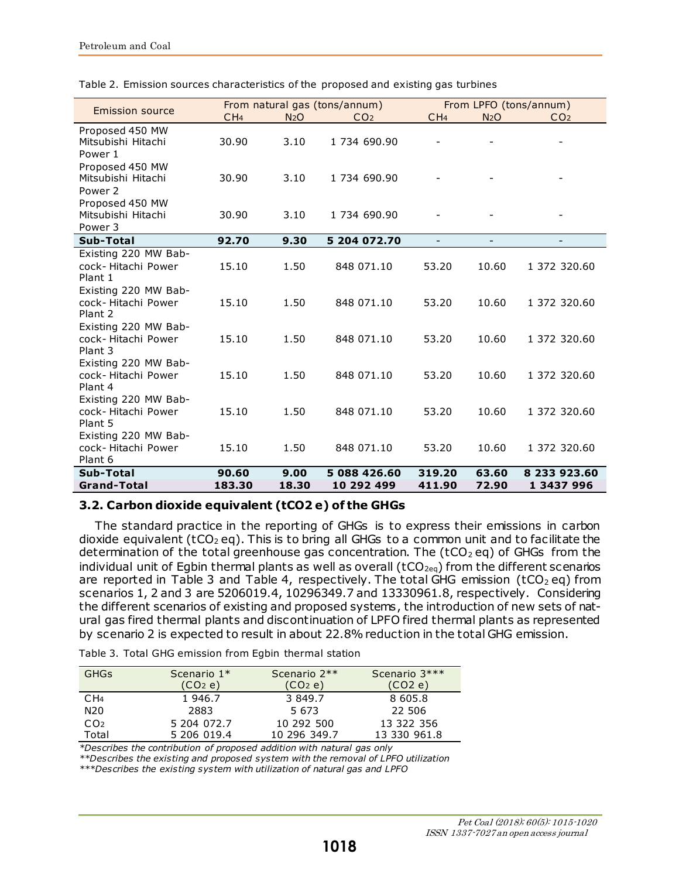| <b>Emission source</b>                                |                 |                  | From natural gas (tons/annum) |                          |                          | From LPFO (tons/annum)   |
|-------------------------------------------------------|-----------------|------------------|-------------------------------|--------------------------|--------------------------|--------------------------|
|                                                       | CH <sub>4</sub> | N <sub>2</sub> O | CO <sub>2</sub>               | CH <sub>4</sub>          | N <sub>2</sub> O         | CO <sub>2</sub>          |
| Proposed 450 MW<br>Mitsubishi Hitachi<br>Power 1      | 30.90           | 3.10             | 1 734 690.90                  |                          |                          |                          |
| Proposed 450 MW<br>Mitsubishi Hitachi<br>Power 2      | 30.90           | 3.10             | 1 734 690.90                  |                          |                          |                          |
| Proposed 450 MW<br>Mitsubishi Hitachi<br>Power 3      | 30.90           | 3.10             | 1 734 690.90                  |                          |                          |                          |
| Sub-Total                                             | 92.70           | 9.30             | 5 204 072.70                  | $\overline{\phantom{a}}$ | $\overline{\phantom{a}}$ | $\overline{\phantom{a}}$ |
| Existing 220 MW Bab-<br>cock-Hitachi Power<br>Plant 1 | 15.10           | 1.50             | 848 071.10                    | 53.20                    | 10.60                    | 1 372 320.60             |
| Existing 220 MW Bab-<br>cock-Hitachi Power<br>Plant 2 | 15.10           | 1.50             | 848 071.10                    | 53.20                    | 10.60                    | 1 372 320.60             |
| Existing 220 MW Bab-<br>cock-Hitachi Power<br>Plant 3 | 15.10           | 1.50             | 848 071.10                    | 53.20                    | 10.60                    | 1 372 320.60             |
| Existing 220 MW Bab-<br>cock-Hitachi Power<br>Plant 4 | 15.10           | 1.50             | 848 071.10                    | 53.20                    | 10.60                    | 1 372 320.60             |
| Existing 220 MW Bab-<br>cock-Hitachi Power<br>Plant 5 | 15.10           | 1.50             | 848 071.10                    | 53.20                    | 10.60                    | 1 372 320.60             |
| Existing 220 MW Bab-<br>cock-Hitachi Power<br>Plant 6 | 15.10           | 1.50             | 848 071.10                    | 53.20                    | 10.60                    | 1 372 320.60             |
| Sub-Total                                             | 90.60           | 9.00             | 5 088 426.60                  | 319.20                   | 63.60                    | 8 233 923.60             |
| <b>Grand-Total</b>                                    | 183.30          | 18.30            | 10 292 499                    | 411.90                   | 72.90                    | 1 3437 996               |

Table 2. Emission sources characteristics of the proposed and existing gas turbines

## **3.2. Carbon dioxide equivalent (tCO2 e) of the GHGs**

The standard practice in the reporting of GHGs is to express their emissions in carbon dioxide equivalent ( $tCO<sub>2</sub>$ eq). This is to bring all GHGs to a common unit and to facilitate the determination of the total greenhouse gas concentration. The ( $tCO<sub>2</sub>$ eg) of GHGs from the individual unit of Egbin thermal plants as well as overall ( $tCO_{2eq}$ ) from the different scenarios are reported in Table 3 and Table 4, respectively. The total GHG emission (tCO<sub>2</sub> eq) from scenarios 1, 2 and 3 are 5206019.4, 10296349.7 and 13330961.8, respectively. Considering the different scenarios of existing and proposed systems, the introduction of new sets of natural gas fired thermal plants and discontinuation of LPFO fired thermal plants as represented by scenario 2 is expected to result in about 22.8% reduction in the total GHG emission.

Table 3. Total GHG emission from Egbin thermal station

| <b>GHGs</b>     | Scenario $1*$<br>(CO <sub>2</sub> e) | Scenario $2**$<br>(CO <sub>2</sub> e) | Scenario 3***<br>(CO2e) |
|-----------------|--------------------------------------|---------------------------------------|-------------------------|
| CH <sub>4</sub> | 1 946.7                              | 3 849.7                               | 8 605.8                 |
| N20             | 2883                                 | 5 673                                 | 22 506                  |
| CO <sub>2</sub> | 5 204 072.7                          | 10 292 500                            | 13 322 356              |
| Total           | 5 206 019.4                          | 10 296 349.7                          | 13 330 961.8            |

*\*Describes the contribution of proposed addition with natural gas only* 

*\*\*Describes the existing and proposed system with the removal of LPFO utilization* 

*\*\*\*Describes the existing system with utilization of natural gas and LPFO*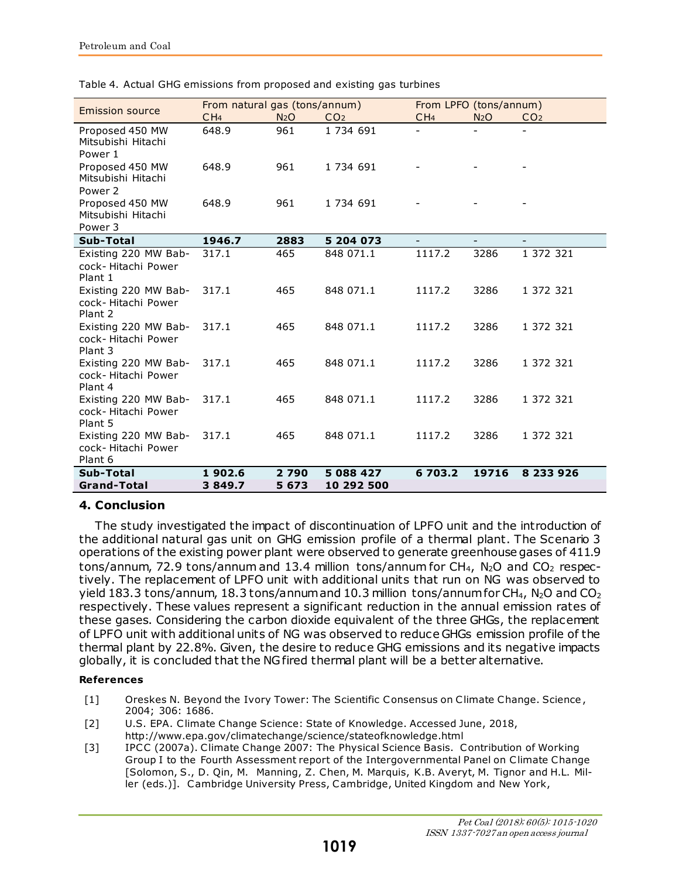|                                                                  | From natural gas (tons/annum) |                  |                         | From LPFO (tons/annum)   |                          |                          |
|------------------------------------------------------------------|-------------------------------|------------------|-------------------------|--------------------------|--------------------------|--------------------------|
| <b>Emission source</b>                                           | CH <sub>4</sub>               | N <sub>2</sub> O | CO <sub>2</sub>         | CH <sub>4</sub>          | N <sub>2</sub> O         | CO <sub>2</sub>          |
| Proposed 450 MW<br>Mitsubishi Hitachi<br>Power 1                 | 648.9                         | 961              | 1 734 691               |                          |                          |                          |
| Proposed 450 MW<br>Mitsubishi Hitachi<br>Power 2                 | 648.9                         | 961              | 1 734 691               |                          |                          |                          |
| Proposed 450 MW<br>Mitsubishi Hitachi<br>Power 3                 | 648.9                         | 961              | 1 734 691               |                          |                          |                          |
| Sub-Total                                                        | 1946.7                        | 2883             | 5 204 073               | $\overline{\phantom{a}}$ | $\overline{\phantom{0}}$ | $\overline{\phantom{a}}$ |
| Existing 220 MW Bab-<br>cock-Hitachi Power<br>Plant 1            | 317.1                         | 465              | 848 071.1               | 1117.2                   | 3286                     | 1 372 321                |
| Existing 220 MW Bab-<br>cock-Hitachi Power<br>Plant 2            | 317.1                         | 465              | 848 071.1               | 1117.2                   | 3286                     | 1 372 321                |
| Existing 220 MW Bab-<br>cock-Hitachi Power<br>Plant 3            | 317.1                         | 465              | 848 071.1               | 1117.2                   | 3286                     | 1 372 321                |
| Existing 220 MW Bab-<br>cock-Hitachi Power<br>Plant 4            | 317.1                         | 465              | 848 071.1               | 1117.2                   | 3286                     | 1 372 321                |
| Existing 220 MW Bab-<br>cock-Hitachi Power<br>Plant 5            | 317.1                         | 465              | 848 071.1               | 1117.2                   | 3286                     | 1 372 321                |
| Existing 220 MW Bab-<br>cock-Hitachi Power<br>Plant <sub>6</sub> | 317.1                         | 465              | 848 071.1               | 1117.2                   | 3286                     | 1 372 321                |
| Sub-Total<br><b>Grand-Total</b>                                  | 1902.6<br>3849.7              | 2790<br>5673     | 5 088 427<br>10 292 500 | 6 703.2                  | 19716                    | 8 233 9 26               |

Table 4. Actual GHG emissions from proposed and existing gas turbines

## **4. Conclusion**

The study investigated the impact of discontinuation of LPFO unit and the introduction of the additional natural gas unit on GHG emission profile of a thermal plant. The Scenario 3 operations of the existing power plant were observed to generate greenhouse gases of 411.9 tons/annum, 72.9 tons/annum and 13.4 million tons/annum for  $CH_4$ ,  $N_2O$  and  $CO_2$  respectively. The replacement of LPFO unit with additional units that run on NG was observed to yield 183.3 tons/annum, 18.3 tons/annum and 10.3 million tons/annum for CH<sub>4</sub>, N<sub>2</sub>O and CO<sub>2</sub> respectively. These values represent a significant reduction in the annual emission rates of these gases. Considering the carbon dioxide equivalent of the three GHGs, the replacement of LPFO unit with additional units of NG was observed to reduce GHGs emission profile of the thermal plant by 22.8%. Given, the desire to reduce GHG emissions and its negative impacts globally, it is concluded that the NG fired thermal plant will be a better alternative.

### **References**

- [1] Oreskes N. Beyond the Ivory Tower: The Scientific Consensus on Climate Change. Science , 2004; 306: 1686.
- [2] U.S. EPA. Climate Change Science: State of Knowledge. Accessed June, 2018, http://www.epa.gov/climatechange/science/stateofknowledge.html
- [3] IPCC (2007a). Climate Change 2007: The Physical Science Basis. Contribution of Working Group I to the Fourth Assessment report of the Intergovernmental Panel on Climate Change [Solomon, S., D. Qin, M. Manning, Z. Chen, M. Marquis, K.B. Averyt, M. Tignor and H.L. Miller (eds.)]. Cambridge University Press, Cambridge, United Kingdom and New York,